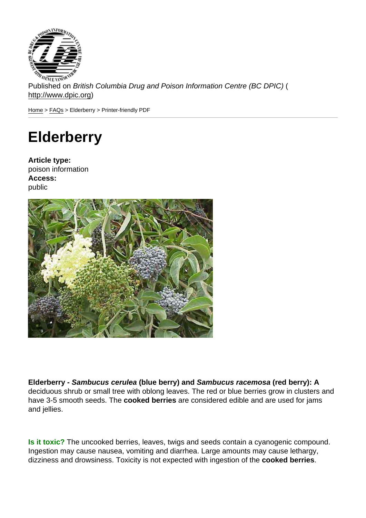Published on British Columbia Drug and Poison Information Centre (BC DPIC) ( http://www.dpic.org)

Home > FAQs > Elderberry > Printer-friendly PDF

## **[Eld](http://www.dpic.org/)[erb](http://www.dpic.org/faq)erry**

Article type: poison information Access: public

Elderberry - Sambucus cerulea (blue berry) and Sambucus racemosa (red berry): A deciduous shrub or small tree with oblong leaves. The red or blue berries grow in clusters and have 3-5 smooth seeds. The cooked berries are considered edible and are used for jams and jellies.

Is it toxic? The uncooked berries, leaves, twigs and seeds contain a cyanogenic compound. Ingestion may cause nausea, vomiting and diarrhea. Large amounts may cause lethargy, dizziness and drowsiness. Toxicity is not expected with ingestion of the cooked berries .